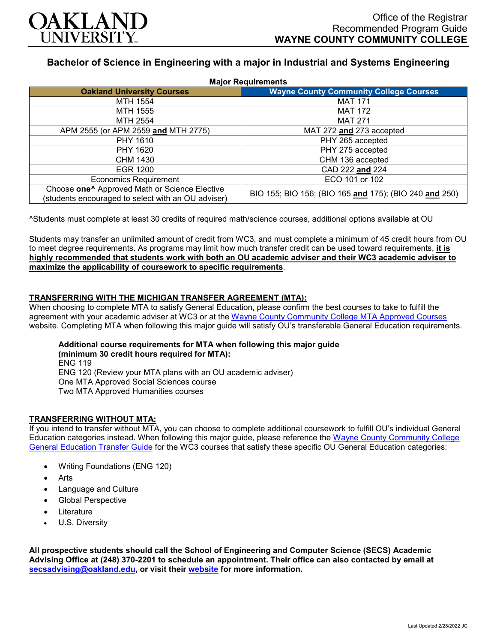

# **Bachelor of Science in Engineering with a major in Industrial and Systems Engineering**

| <b>Major Requirements</b>                                                                                       |                                                        |
|-----------------------------------------------------------------------------------------------------------------|--------------------------------------------------------|
| <b>Oakland University Courses</b>                                                                               | <b>Wayne County Community College Courses</b>          |
| MTH 1554                                                                                                        | <b>MAT 171</b>                                         |
| MTH 1555                                                                                                        | <b>MAT 172</b>                                         |
| MTH 2554                                                                                                        | <b>MAT 271</b>                                         |
| APM 2555 (or APM 2559 and MTH 2775)                                                                             | MAT 272 and 273 accepted                               |
| PHY 1610                                                                                                        | PHY 265 accepted                                       |
| PHY 1620                                                                                                        | PHY 275 accepted                                       |
| CHM 1430                                                                                                        | CHM 136 accepted                                       |
| EGR 1200                                                                                                        | CAD 222 and 224                                        |
| <b>Economics Requirement</b>                                                                                    | ECO 101 or 102                                         |
| Choose one <sup>^</sup> Approved Math or Science Elective<br>(students encouraged to select with an OU adviser) | BIO 155; BIO 156; (BIO 165 and 175); (BIO 240 and 250) |

^Students must complete at least 30 credits of required math/science courses, additional options available at OU

Students may transfer an unlimited amount of credit from WC3, and must complete a minimum of 45 credit hours from OU to meet degree requirements. As programs may limit how much transfer credit can be used toward requirements, **it is highly recommended that students work with both an OU academic adviser and their WC3 academic adviser to maximize the applicability of coursework to specific requirements**.

## **TRANSFERRING WITH THE MICHIGAN TRANSFER AGREEMENT (MTA):**

When choosing to complete MTA to satisfy General Education, please confirm the best courses to take to fulfill the agreement with your academic adviser at WC3 or at the [Wayne County Community College MTA Approved Courses](http://www.wcccd.edu/students/pp_transfer_agreement.html) website. Completing MTA when following this major guide will satisfy OU's transferable General Education requirements.

## **Additional course requirements for MTA when following this major guide (minimum 30 credit hours required for MTA):** ENG 119 ENG 120 (Review your MTA plans with an OU academic adviser)

One MTA Approved Social Sciences course Two MTA Approved Humanities courses

## **TRANSFERRING WITHOUT MTA:**

If you intend to transfer without MTA, you can choose to complete additional coursework to fulfill OU's individual General Education categories instead. When following this major guide, please reference the Wayne [County Community College](https://www.oakland.edu/Assets/Oakland/program-guides/wayne-county-community-college/university-general-education-requirements/Wayne%20Gen%20Ed.pdf) [General Education Transfer Guide](https://www.oakland.edu/Assets/Oakland/program-guides/wayne-county-community-college/university-general-education-requirements/Wayne%20Gen%20Ed.pdf) for the WC3 courses that satisfy these specific OU General Education categories:

- Writing Foundations (ENG 120)
- **Arts**
- Language and Culture
- Global Perspective
- **Literature**
- U.S. Diversity

**All prospective students should call the School of Engineering and Computer Science (SECS) Academic Advising Office at (248) 370-2201 to schedule an appointment. Their office can also contacted by email at [secsadvising@oakland.edu,](mailto:secsadvising@oakland.edu) or visit their [website](https://wwwp.oakland.edu/secs/advising/) for more information.**